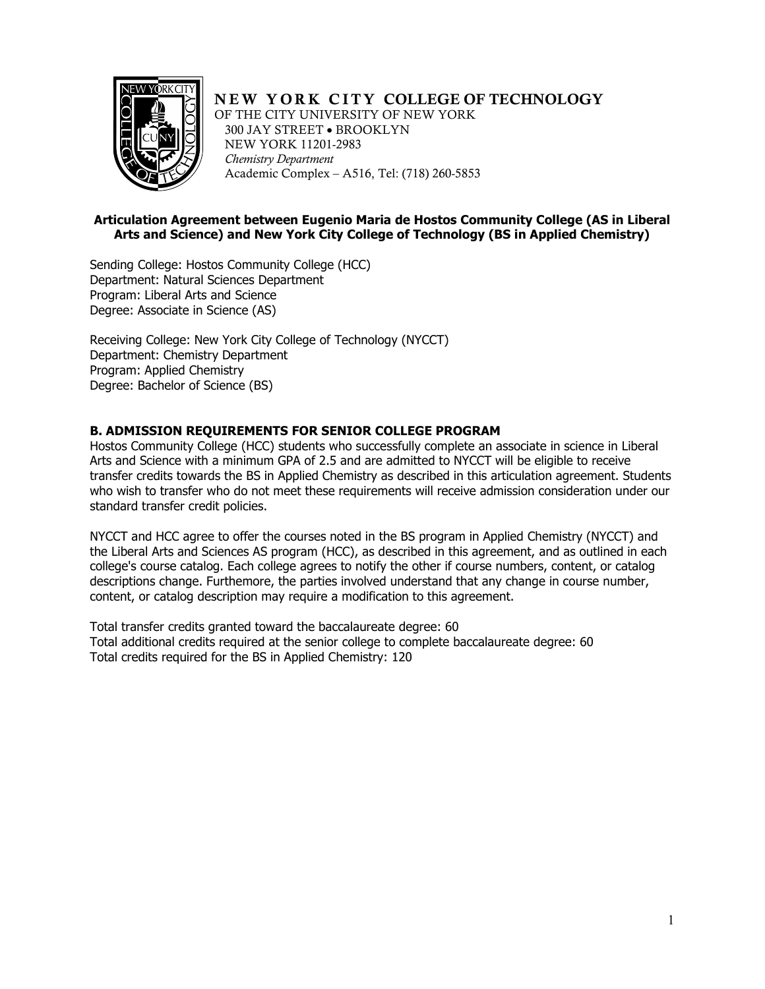

# NEW YORK CITY COLLEGE OF TECHNOLOGY

OF THE CITY UNIVERSITY OF NEW YORK 300 JAY STREET • BROOKLYN NEW YORK 11201-2983 *Chemistry Department*  Academic Complex – A516, Tel: (718) 260-5853

## **Articulation Agreement between Eugenio Maria de Hostos Community College (AS in Liberal Arts and Science) and New York City College of Technology (BS in Applied Chemistry)**

 Sending College: Hostos Community College (HCC) Degree: Associate in Science (AS) Department: Natural Sciences Department Program: Liberal Arts and Science

 Receiving College: New York City College of Technology (NYCCT) Department: Chemistry Department Degree: Bachelor of Science (BS) Program: Applied Chemistry

## **B. ADMISSION REQUIREMENTS FOR SENIOR COLLEGE PROGRAM**

 Hostos Community College (HCC) students who successfully complete an associate in science in Liberal Arts and Science with a minimum GPA of 2.5 and are admitted to NYCCT will be eligible to receive transfer credits towards the BS in Applied Chemistry as described in this articulation agreement. Students who wish to transfer who do not meet these requirements will receive admission consideration under our standard transfer credit policies.

 NYCCT and HCC agree to offer the courses noted in the BS program in Applied Chemistry (NYCCT) and the Liberal Arts and Sciences AS program (HCC), as described in this agreement, and as outlined in each college's course catalog. Each college agrees to notify the other if course numbers, content, or catalog descriptions change. Furthemore, the parties involved understand that any change in course number, content, or catalog description may require a modification to this agreement.

 Total transfer credits granted toward the baccalaureate degree: 60 Total additional credits required at the senior college to complete baccalaureate degree: 60 Total credits required for the BS in Applied Chemistry: 120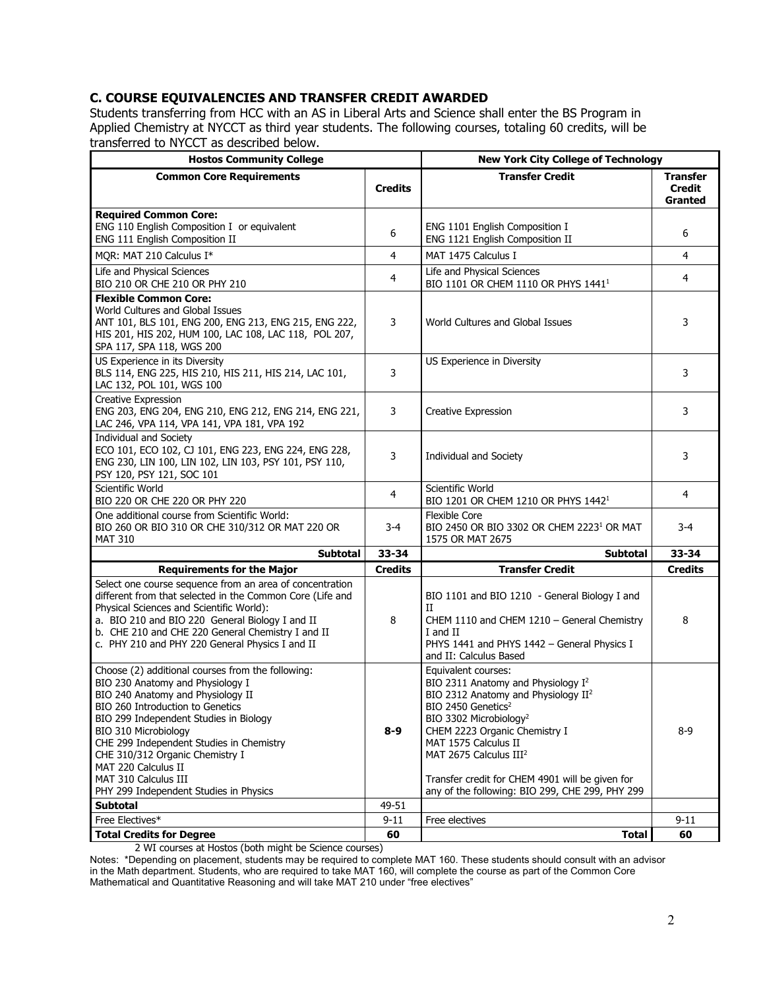## **C. COURSE EQUIVALENCIES AND TRANSFER CREDIT AWARDED**

 Students transferring from HCC with an AS in Liberal Arts and Science shall enter the BS Program in Applied Chemistry at NYCCT as third year students. The following courses, totaling 60 credits, will be transferred to NYCCT as described below.

| <b>Hostos Community College</b>                                                                                                                                                                                                                                                                                                                                                                          | <b>New York City College of Technology</b> |                                                                                                                                                                                                                                                                                                                                                                                                       |                                             |
|----------------------------------------------------------------------------------------------------------------------------------------------------------------------------------------------------------------------------------------------------------------------------------------------------------------------------------------------------------------------------------------------------------|--------------------------------------------|-------------------------------------------------------------------------------------------------------------------------------------------------------------------------------------------------------------------------------------------------------------------------------------------------------------------------------------------------------------------------------------------------------|---------------------------------------------|
| <b>Common Core Requirements</b>                                                                                                                                                                                                                                                                                                                                                                          | <b>Credits</b>                             | <b>Transfer Credit</b>                                                                                                                                                                                                                                                                                                                                                                                | <b>Transfer</b><br><b>Credit</b><br>Granted |
| <b>Required Common Core:</b><br>ENG 110 English Composition I or equivalent<br>ENG 111 English Composition II                                                                                                                                                                                                                                                                                            | 6                                          | ENG 1101 English Composition I<br>ENG 1121 English Composition II                                                                                                                                                                                                                                                                                                                                     | 6                                           |
| MQR: MAT 210 Calculus I*                                                                                                                                                                                                                                                                                                                                                                                 | $\overline{4}$                             | MAT 1475 Calculus I                                                                                                                                                                                                                                                                                                                                                                                   | 4                                           |
| Life and Physical Sciences<br>BIO 210 OR CHE 210 OR PHY 210                                                                                                                                                                                                                                                                                                                                              | $\overline{4}$                             | Life and Physical Sciences<br>BIO 1101 OR CHEM 1110 OR PHYS 1441 <sup>1</sup>                                                                                                                                                                                                                                                                                                                         | 4                                           |
| <b>Flexible Common Core:</b><br>World Cultures and Global Issues<br>ANT 101, BLS 101, ENG 200, ENG 213, ENG 215, ENG 222,<br>HIS 201, HIS 202, HUM 100, LAC 108, LAC 118, POL 207,<br>SPA 117, SPA 118, WGS 200                                                                                                                                                                                          | 3                                          | World Cultures and Global Issues                                                                                                                                                                                                                                                                                                                                                                      | 3                                           |
| US Experience in its Diversity<br>BLS 114, ENG 225, HIS 210, HIS 211, HIS 214, LAC 101,<br>LAC 132, POL 101, WGS 100                                                                                                                                                                                                                                                                                     | 3                                          | US Experience in Diversity                                                                                                                                                                                                                                                                                                                                                                            | 3                                           |
| Creative Expression<br>ENG 203, ENG 204, ENG 210, ENG 212, ENG 214, ENG 221,<br>LAC 246, VPA 114, VPA 141, VPA 181, VPA 192                                                                                                                                                                                                                                                                              | 3                                          | <b>Creative Expression</b>                                                                                                                                                                                                                                                                                                                                                                            | 3                                           |
| <b>Individual and Society</b><br>ECO 101, ECO 102, CJ 101, ENG 223, ENG 224, ENG 228,<br>ENG 230, LIN 100, LIN 102, LIN 103, PSY 101, PSY 110,<br>PSY 120, PSY 121, SOC 101                                                                                                                                                                                                                              | 3                                          | <b>Individual and Society</b>                                                                                                                                                                                                                                                                                                                                                                         | 3                                           |
| Scientific World<br>BIO 220 OR CHE 220 OR PHY 220                                                                                                                                                                                                                                                                                                                                                        | $\overline{4}$                             | Scientific World<br>BIO 1201 OR CHEM 1210 OR PHYS 1442 <sup>1</sup>                                                                                                                                                                                                                                                                                                                                   | 4                                           |
| One additional course from Scientific World:<br>BIO 260 OR BIO 310 OR CHE 310/312 OR MAT 220 OR<br><b>MAT 310</b>                                                                                                                                                                                                                                                                                        | 3-4                                        | <b>Flexible Core</b><br>BIO 2450 OR BIO 3302 OR CHEM 2223 <sup>1</sup> OR MAT<br>1575 OR MAT 2675                                                                                                                                                                                                                                                                                                     | 3-4                                         |
| <b>Subtotal</b>                                                                                                                                                                                                                                                                                                                                                                                          | 33-34                                      | <b>Subtotal</b>                                                                                                                                                                                                                                                                                                                                                                                       | 33-34                                       |
| <b>Requirements for the Major</b>                                                                                                                                                                                                                                                                                                                                                                        | <b>Credits</b>                             | <b>Transfer Credit</b>                                                                                                                                                                                                                                                                                                                                                                                | <b>Credits</b>                              |
| Select one course sequence from an area of concentration<br>different from that selected in the Common Core (Life and<br>Physical Sciences and Scientific World):<br>a. BIO 210 and BIO 220 General Biology I and II<br>b. CHE 210 and CHE 220 General Chemistry I and II<br>c. PHY 210 and PHY 220 General Physics I and II                                                                             | 8                                          | BIO 1101 and BIO 1210 - General Biology I and<br>П<br>CHEM 1110 and CHEM 1210 - General Chemistry<br>I and II<br>PHYS 1441 and PHYS 1442 - General Physics I<br>and II: Calculus Based                                                                                                                                                                                                                | 8                                           |
| Choose (2) additional courses from the following:<br>BIO 230 Anatomy and Physiology I<br>BIO 240 Anatomy and Physiology II<br>BIO 260 Introduction to Genetics<br>BIO 299 Independent Studies in Biology<br>BIO 310 Microbiology<br>CHE 299 Independent Studies in Chemistry<br>CHE 310/312 Organic Chemistry I<br>MAT 220 Calculus II<br>MAT 310 Calculus III<br>PHY 299 Independent Studies in Physics | $8 - 9$                                    | Equivalent courses:<br>BIO 2311 Anatomy and Physiology I <sup>2</sup><br>BIO 2312 Anatomy and Physiology II <sup>2</sup><br>BIO 2450 Genetics <sup>2</sup><br>BIO 3302 Microbiology <sup>2</sup><br>CHEM 2223 Organic Chemistry I<br>MAT 1575 Calculus II<br>MAT 2675 Calculus III <sup>2</sup><br>Transfer credit for CHEM 4901 will be given for<br>any of the following: BIO 299, CHE 299, PHY 299 | $8-9$                                       |
| <b>Subtotal</b>                                                                                                                                                                                                                                                                                                                                                                                          | 49-51                                      |                                                                                                                                                                                                                                                                                                                                                                                                       |                                             |
| Free Electives*                                                                                                                                                                                                                                                                                                                                                                                          | $9 - 11$                                   | Free electives                                                                                                                                                                                                                                                                                                                                                                                        | $9 - 11$                                    |
| <b>Total Credits for Degree</b>                                                                                                                                                                                                                                                                                                                                                                          | 60                                         | <b>Total</b>                                                                                                                                                                                                                                                                                                                                                                                          | 60                                          |

2 WI courses at Hostos (both might be Science courses)

 $\overline{a}$ Notes: \*Depending on placement, students may be required to complete MAT 160. These students should consult with an advisor in the Math department. Students, who are required to take MAT 160, will complete the course as part of the Common Core Mathematical and Quantitative Reasoning and will take MAT 210 under "free electives"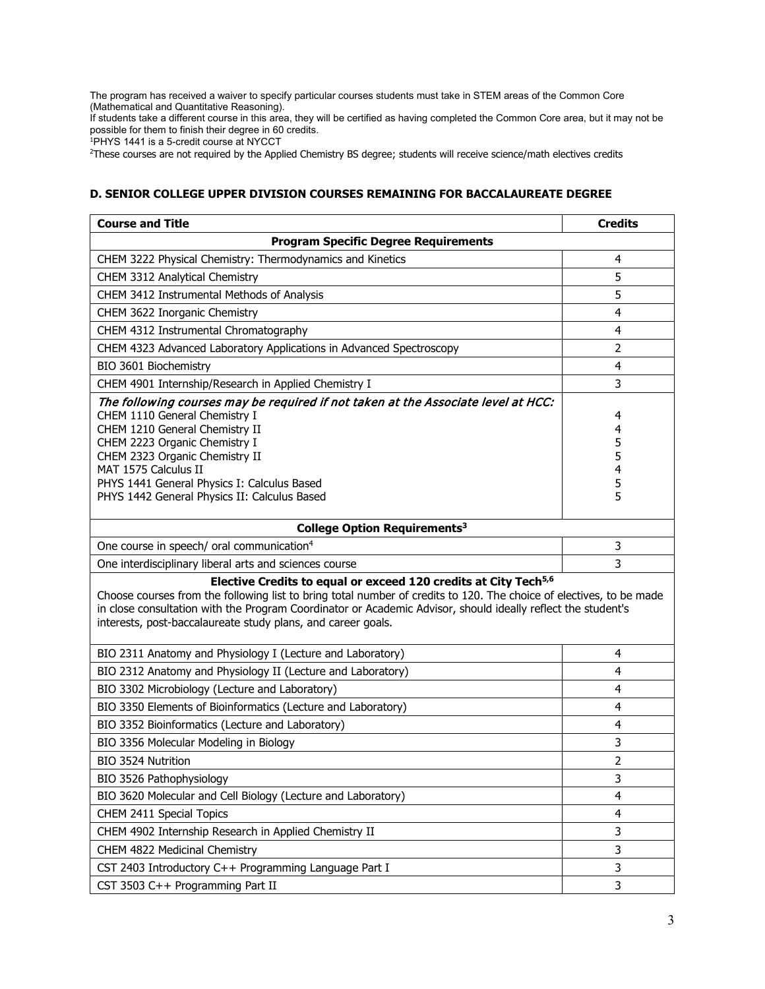The program has received a waiver to specify particular courses students must take in STEM areas of the Common Core (Mathematical and Quantitative Reasoning).

If students take a different course in this area, they will be certified as having completed the Common Core area, but it may not be possible for them to finish their degree in 60 credits.

1 PHYS 1441 is a 5-credit course at NYCCT

2 These courses are not required by the Applied Chemistry BS degree; students will receive science/math electives credits

### **D. SENIOR COLLEGE UPPER DIVISION COURSES REMAINING FOR BACCALAUREATE DEGREE**

| <b>Course and Title</b>                                                                                                                                                                                                                                                                                                                                                            | <b>Credits</b>                  |  |  |
|------------------------------------------------------------------------------------------------------------------------------------------------------------------------------------------------------------------------------------------------------------------------------------------------------------------------------------------------------------------------------------|---------------------------------|--|--|
| <b>Program Specific Degree Requirements</b>                                                                                                                                                                                                                                                                                                                                        |                                 |  |  |
| CHEM 3222 Physical Chemistry: Thermodynamics and Kinetics                                                                                                                                                                                                                                                                                                                          | 4                               |  |  |
| CHEM 3312 Analytical Chemistry                                                                                                                                                                                                                                                                                                                                                     | 5                               |  |  |
| CHEM 3412 Instrumental Methods of Analysis                                                                                                                                                                                                                                                                                                                                         | 5                               |  |  |
| CHEM 3622 Inorganic Chemistry                                                                                                                                                                                                                                                                                                                                                      | 4                               |  |  |
| CHEM 4312 Instrumental Chromatography                                                                                                                                                                                                                                                                                                                                              | 4                               |  |  |
| CHEM 4323 Advanced Laboratory Applications in Advanced Spectroscopy                                                                                                                                                                                                                                                                                                                | $\overline{2}$                  |  |  |
| BIO 3601 Biochemistry                                                                                                                                                                                                                                                                                                                                                              | 4                               |  |  |
| CHEM 4901 Internship/Research in Applied Chemistry I                                                                                                                                                                                                                                                                                                                               | 3                               |  |  |
| The following courses may be required if not taken at the Associate level at HCC:<br>CHEM 1110 General Chemistry I<br>CHEM 1210 General Chemistry II<br>CHEM 2223 Organic Chemistry I<br>CHEM 2323 Organic Chemistry II<br>MAT 1575 Calculus II<br>PHYS 1441 General Physics I: Calculus Based<br>PHYS 1442 General Physics II: Calculus Based                                     | 4<br>4<br>5<br>5<br>4<br>5<br>5 |  |  |
| College Option Requirements <sup>3</sup>                                                                                                                                                                                                                                                                                                                                           |                                 |  |  |
| One course in speech/ oral communication <sup>4</sup>                                                                                                                                                                                                                                                                                                                              | 3                               |  |  |
| One interdisciplinary liberal arts and sciences course                                                                                                                                                                                                                                                                                                                             | 3                               |  |  |
| Elective Credits to equal or exceed 120 credits at City Tech <sup>5,6</sup><br>Choose courses from the following list to bring total number of credits to 120. The choice of electives, to be made<br>in close consultation with the Program Coordinator or Academic Advisor, should ideally reflect the student's<br>interests, post-baccalaureate study plans, and career goals. |                                 |  |  |
| BIO 2311 Anatomy and Physiology I (Lecture and Laboratory)                                                                                                                                                                                                                                                                                                                         | 4                               |  |  |
| BIO 2312 Anatomy and Physiology II (Lecture and Laboratory)                                                                                                                                                                                                                                                                                                                        | 4                               |  |  |
| BIO 3302 Microbiology (Lecture and Laboratory)                                                                                                                                                                                                                                                                                                                                     | 4                               |  |  |
| BIO 3350 Elements of Bioinformatics (Lecture and Laboratory)                                                                                                                                                                                                                                                                                                                       | 4                               |  |  |
| BIO 3352 Bioinformatics (Lecture and Laboratory)                                                                                                                                                                                                                                                                                                                                   | 4                               |  |  |
| BIO 3356 Molecular Modeling in Biology                                                                                                                                                                                                                                                                                                                                             | 3                               |  |  |
| BIO 3524 Nutrition                                                                                                                                                                                                                                                                                                                                                                 | $\overline{2}$                  |  |  |
| BIO 3526 Pathophysiology                                                                                                                                                                                                                                                                                                                                                           | 3                               |  |  |
| BIO 3620 Molecular and Cell Biology (Lecture and Laboratory)                                                                                                                                                                                                                                                                                                                       | 4                               |  |  |
| CHEM 2411 Special Topics                                                                                                                                                                                                                                                                                                                                                           | 4                               |  |  |
| CHEM 4902 Internship Research in Applied Chemistry II                                                                                                                                                                                                                                                                                                                              | 3                               |  |  |
| CHEM 4822 Medicinal Chemistry                                                                                                                                                                                                                                                                                                                                                      | 3                               |  |  |
| CST 2403 Introductory C++ Programming Language Part I                                                                                                                                                                                                                                                                                                                              | 3                               |  |  |
| CST 3503 C++ Programming Part II                                                                                                                                                                                                                                                                                                                                                   | 3                               |  |  |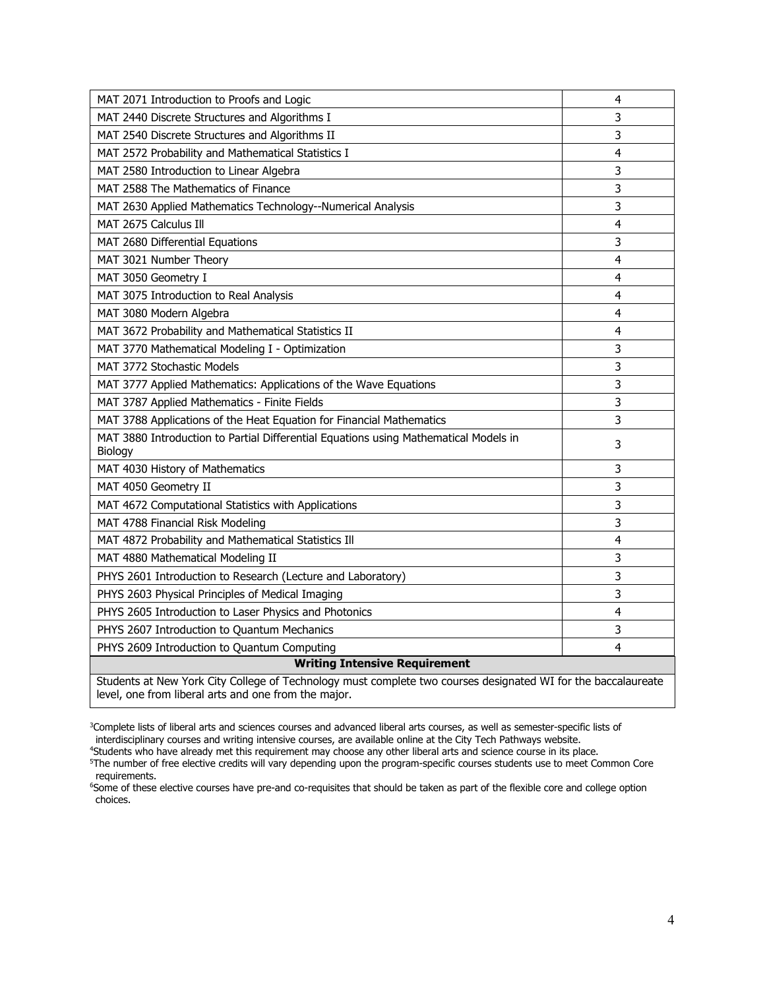| MAT 2071 Introduction to Proofs and Logic                                                                                                                             | 4 |  |  |
|-----------------------------------------------------------------------------------------------------------------------------------------------------------------------|---|--|--|
| MAT 2440 Discrete Structures and Algorithms I                                                                                                                         | 3 |  |  |
| MAT 2540 Discrete Structures and Algorithms II                                                                                                                        | 3 |  |  |
| MAT 2572 Probability and Mathematical Statistics I                                                                                                                    | 4 |  |  |
| MAT 2580 Introduction to Linear Algebra                                                                                                                               | 3 |  |  |
| MAT 2588 The Mathematics of Finance                                                                                                                                   | 3 |  |  |
| MAT 2630 Applied Mathematics Technology--Numerical Analysis                                                                                                           | 3 |  |  |
| MAT 2675 Calculus Ill                                                                                                                                                 | 4 |  |  |
| MAT 2680 Differential Equations                                                                                                                                       | 3 |  |  |
| MAT 3021 Number Theory                                                                                                                                                | 4 |  |  |
| MAT 3050 Geometry I                                                                                                                                                   | 4 |  |  |
| MAT 3075 Introduction to Real Analysis                                                                                                                                | 4 |  |  |
| MAT 3080 Modern Algebra                                                                                                                                               | 4 |  |  |
| MAT 3672 Probability and Mathematical Statistics II                                                                                                                   | 4 |  |  |
| MAT 3770 Mathematical Modeling I - Optimization                                                                                                                       | 3 |  |  |
| MAT 3772 Stochastic Models                                                                                                                                            | 3 |  |  |
| MAT 3777 Applied Mathematics: Applications of the Wave Equations                                                                                                      | 3 |  |  |
| MAT 3787 Applied Mathematics - Finite Fields                                                                                                                          | 3 |  |  |
| MAT 3788 Applications of the Heat Equation for Financial Mathematics                                                                                                  | 3 |  |  |
| MAT 3880 Introduction to Partial Differential Equations using Mathematical Models in<br>Biology                                                                       | 3 |  |  |
| MAT 4030 History of Mathematics                                                                                                                                       | 3 |  |  |
| MAT 4050 Geometry II                                                                                                                                                  | 3 |  |  |
| MAT 4672 Computational Statistics with Applications                                                                                                                   | 3 |  |  |
| MAT 4788 Financial Risk Modeling                                                                                                                                      | 3 |  |  |
| MAT 4872 Probability and Mathematical Statistics Ill                                                                                                                  | 4 |  |  |
| MAT 4880 Mathematical Modeling II                                                                                                                                     | 3 |  |  |
| PHYS 2601 Introduction to Research (Lecture and Laboratory)                                                                                                           | 3 |  |  |
| PHYS 2603 Physical Principles of Medical Imaging                                                                                                                      | 3 |  |  |
| PHYS 2605 Introduction to Laser Physics and Photonics                                                                                                                 | 4 |  |  |
| PHYS 2607 Introduction to Quantum Mechanics                                                                                                                           | 3 |  |  |
| PHYS 2609 Introduction to Quantum Computing                                                                                                                           | 4 |  |  |
| <b>Writing Intensive Requirement</b>                                                                                                                                  |   |  |  |
| Students at New York City College of Technology must complete two courses designated WI for the baccalaureate<br>level, one from liberal arts and one from the major. |   |  |  |

 3 Complete lists of liberal arts and sciences courses and advanced liberal arts courses, as well as semester-specific lists of interdisciplinary courses and writing intensive courses, are available online at the City Tech Pathways website.

<sup>4</sup>Students who

"Students who have already met this requirement may choose any other liberal arts and science course in its place.<br><sup>5</sup>The number of free elective credits will vary depending upon the program-specific courses students use t requirements.

 6 Some of these elective courses have pre-and co-requisites that should be taken as part of the flexible core and college option choices.